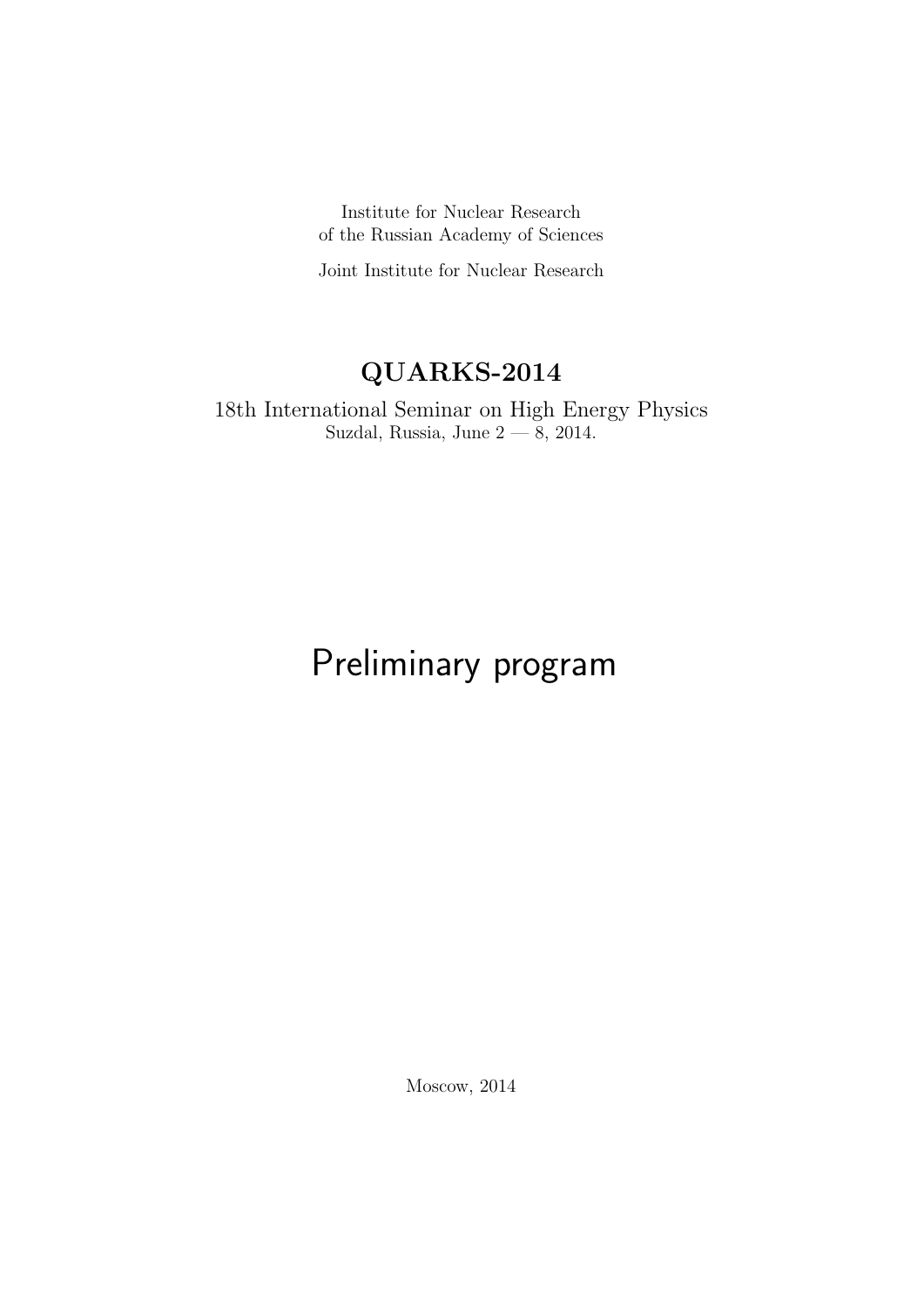Institute for Nuclear Research of the Russian Academy of Sciences

Joint Institute for Nuclear Research

# QUARKS-2014

18th International Seminar on High Energy Physics Suzdal, Russia, June 2 — 8, 2014.

# Preliminary program

Moscow, 2014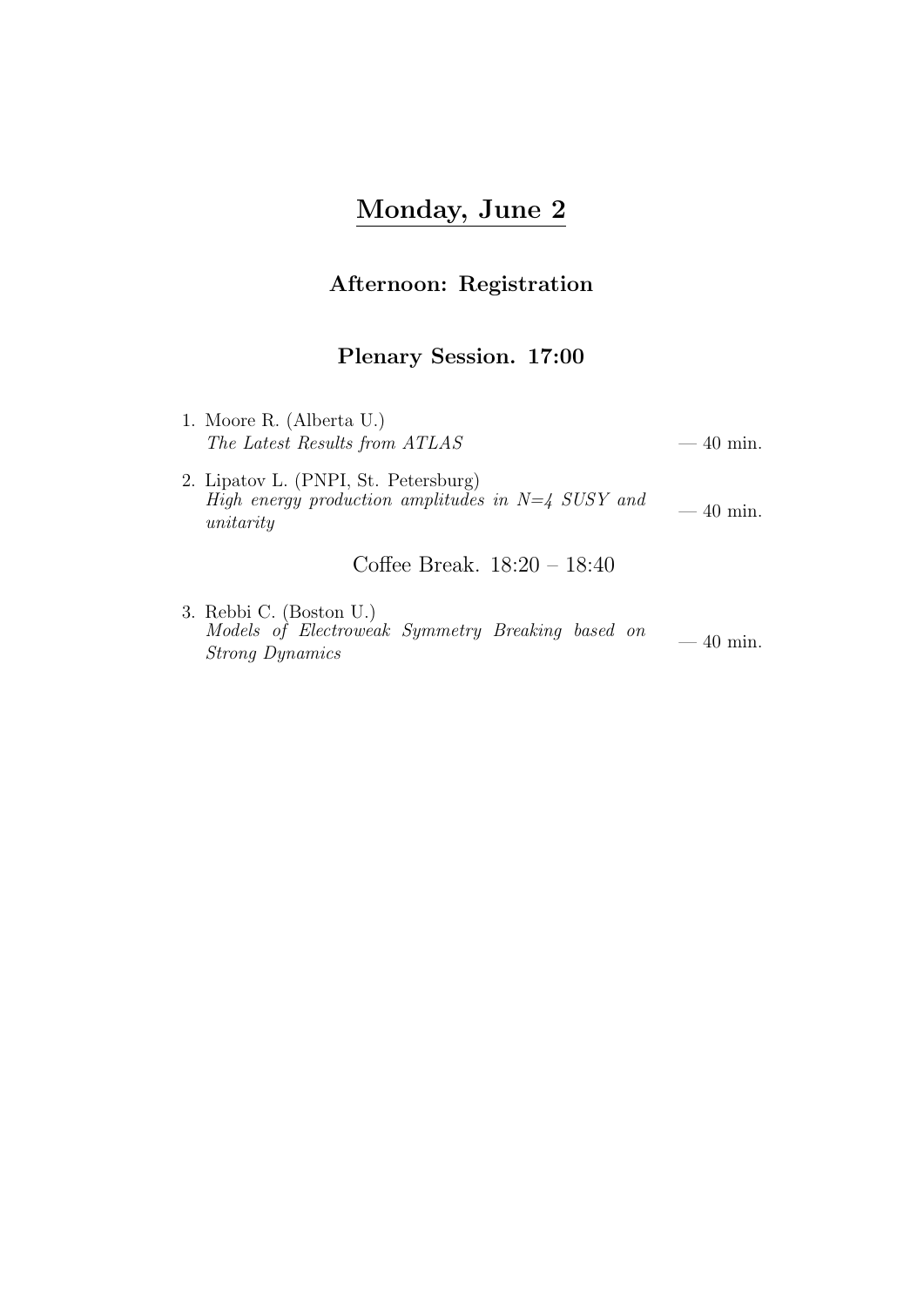# Monday, June 2

#### Afternoon: Registration

#### Plenary Session. 17:00

- 1. Moore R. (Alberta U.)  $\emph{The Latest Results from ATLAS} \emph{---} \emph{40 min}.$
- 2. Lipatov L. (PNPI, St. Petersburg) High energy production amplitudes in  $N=4$  SUSY and  $-40$  min.

Coffee Break. 18:20 – 18:40

3. Rebbi C. (Boston U.) Models of Electroweak Symmetry Breaking based on Strong Dynamics — 40 min.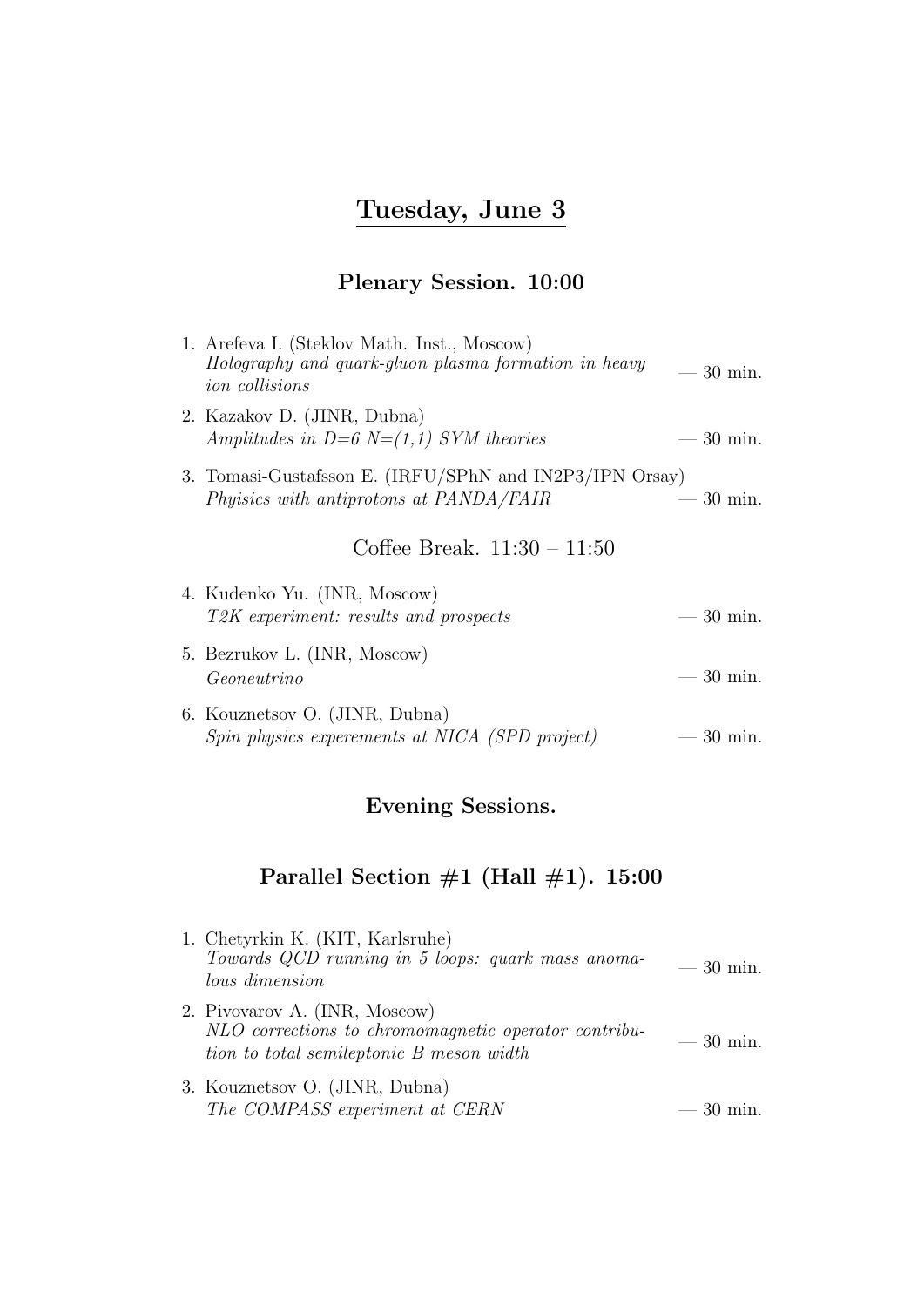# Tuesday, June 3

#### Plenary Session. 10:00

| 1. Arefeva I. (Steklov Math. Inst., Moscow)<br>Holography and quark-gluon plasma formation in heavy<br><i>ion</i> collisions | $-30$ min. |
|------------------------------------------------------------------------------------------------------------------------------|------------|
| 2. Kazakov D. (JINR, Dubna)<br>Amplitudes in $D=6$ N= $(1,1)$ SYM theories                                                   | $-30$ min. |
| 3. Tomasi-Gustafsson E. (IRFU/SPhN and IN2P3/IPN Orsay)<br>Physics with antiprotons at PANDA/FAIR                            | $-30$ min. |
| Coffee Break. $11:30 - 11:50$                                                                                                |            |
| 4. Kudenko Yu. (INR, Moscow)<br>T2K experiment: results and prospects                                                        | $-30$ min. |
| 5. Bezrukov L. (INR, Moscow)<br>Geoneutrino                                                                                  | $-30$ min. |
| 6. Kouznetsov O. (JINR, Dubna)<br>Spin physics experements at NICA (SPD project)                                             | $-30$ min. |

### Evening Sessions.

| 1. Chetyrkin K. (KIT, Karlsruhe)<br>Towards QCD running in 5 loops: quark mass anoma-<br>lous dimension                           | $-30$ min. |
|-----------------------------------------------------------------------------------------------------------------------------------|------------|
| 2. Pivovarov A. (INR, Moscow)<br>NLO corrections to chromomagnetic operator contribu-<br>tion to total semileptonic B meson width | $-30$ min. |
| 3. Kouznetsov O. (JINR, Dubna)<br>The COMPASS experiment at CERN                                                                  | $-30$ min. |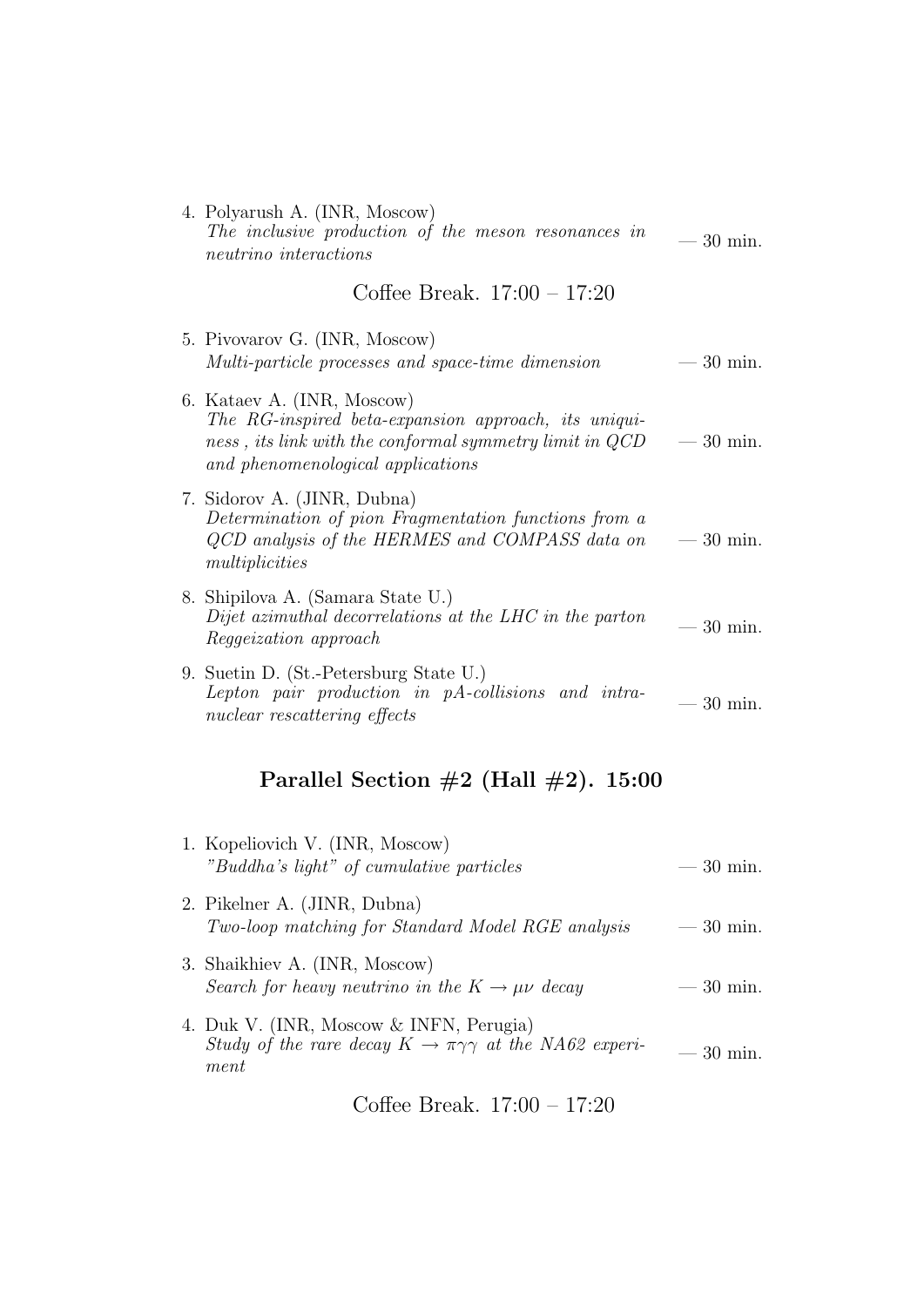| 4. Polyarush A. (INR, Moscow)<br>The inclusive production of the meson resonances in<br>neutrino interactions                                                                           | $-30$ min.        |
|-----------------------------------------------------------------------------------------------------------------------------------------------------------------------------------------|-------------------|
| Coffee Break. $17:00 - 17:20$                                                                                                                                                           |                   |
| 5. Pivovarov G. (INR, Moscow)<br>Multi-particle processes and space-time dimension                                                                                                      | $-30$ min.        |
| 6. Kataev A. (INR, Moscow)<br>The RG-inspired beta-expansion approach, its uniqui-<br>$ness$ , its link with the conformal symmetry limit in $QCD$<br>and phenomenological applications | $-30$ min.        |
| 7. Sidorov A. (JINR, Dubna)<br>Determination of pion Fragmentation functions from a<br>QCD analysis of the HERMES and COMPASS data on<br>multiplicities                                 | $-30$ min.        |
| 8. Shipilova A. (Samara State U.)<br>Dijet azimuthal decorrelations at the LHC in the parton<br><i>Reggeization approach</i>                                                            | $-30$ min.        |
| 9. Suetin D. (St.-Petersburg State U.)<br>Lepton pair production in pA-collisions and intra-<br>nuclear rescattering effects                                                            | $30 \text{ min.}$ |
|                                                                                                                                                                                         |                   |

# Parallel Section  $\#2$  (Hall  $\#2$ ). 15:00

| 1. Kopeliovich V. (INR, Moscow)<br>"Buddha's light" of cumulative particles                                              | $-30$ min. |
|--------------------------------------------------------------------------------------------------------------------------|------------|
| 2. Pikelner A. (JINR, Dubna)<br>Two-loop matching for Standard Model RGE analysis                                        | $-30$ min. |
| 3. Shaikhiev A. (INR, Moscow)<br>Search for heavy neutrino in the $K \to \mu \nu$ decay                                  | $-30$ min. |
| 4. Duk V. (INR, Moscow & INFN, Perugia)<br>Study of the rare decay $K \to \pi \gamma \gamma$ at the NA62 experi-<br>ment | $-30$ min. |

Coffee Break. 17:00 – 17:20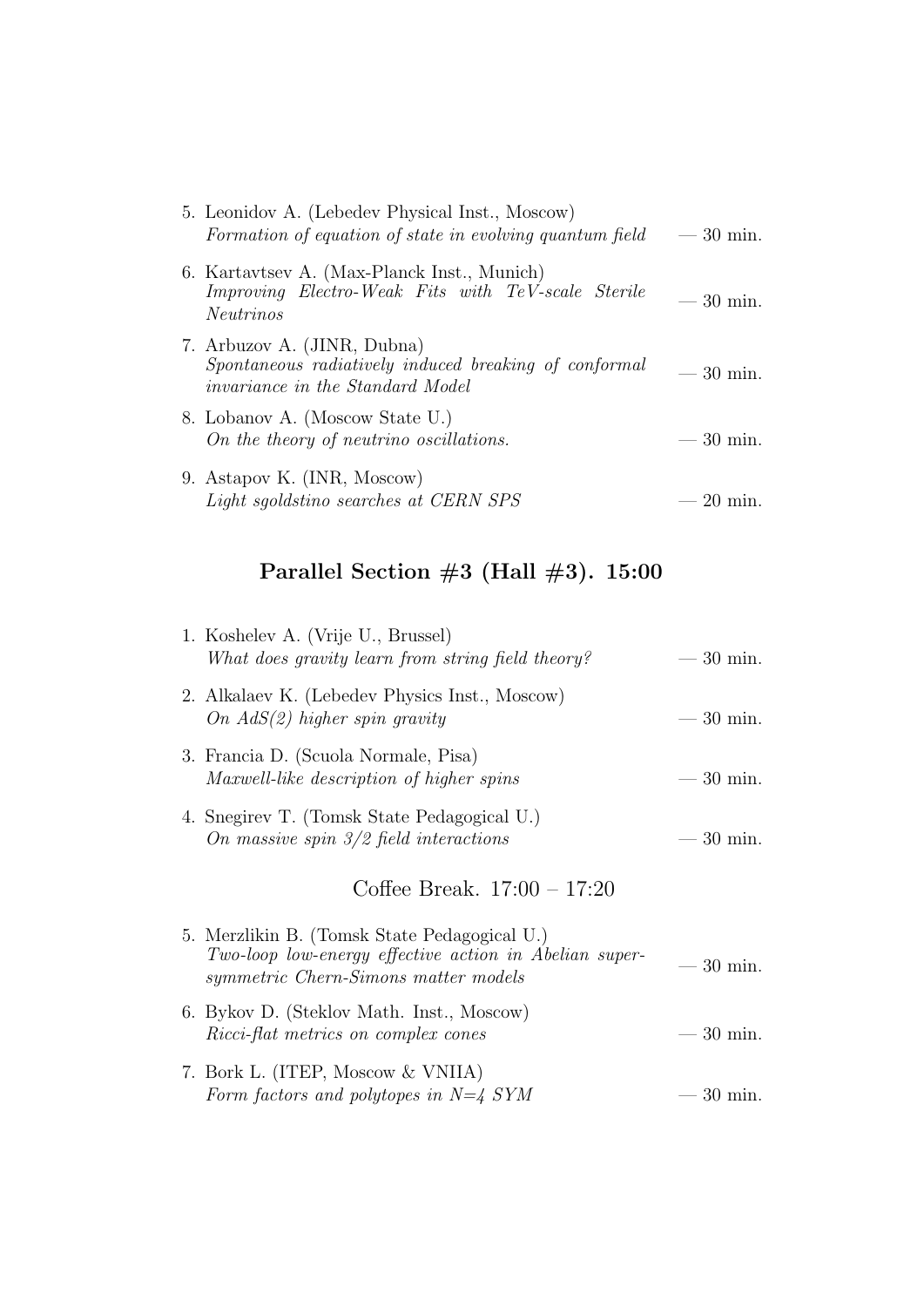| 5. Leonidov A. (Lebedev Physical Inst., Moscow)<br>Formation of equation of state in evolving quantum field                     | $-30$ min.                 |
|---------------------------------------------------------------------------------------------------------------------------------|----------------------------|
| 6. Kartavtsev A. (Max-Planck Inst., Munich)<br>Improving Electro-Weak Fits with TeV-scale Sterile<br><i>Neutrinos</i>           | $-30$ min.                 |
| 7. Arbuzov A. (JINR, Dubna)<br>Spontaneous radiatively induced breaking of conformal<br><i>invariance in the Standard Model</i> | $-30$ min.                 |
| 8. Lobanov A. (Moscow State U.)<br>On the theory of neutrino oscillations.                                                      | $-30$ min.                 |
| 9. Astapov K. (INR, Moscow)<br>Light sgoldstino searches at CERN SPS                                                            | $=20~\mathrm{m}$<br>$1n$ . |

| 1. Koshelev A. (Vrije U., Brussel)<br>What does gravity learn from string field theory?                                                        | $-30$ min. |
|------------------------------------------------------------------------------------------------------------------------------------------------|------------|
| 2. Alkalaev K. (Lebedev Physics Inst., Moscow)<br>On $AdS(2)$ higher spin gravity                                                              | $-30$ min. |
| 3. Francia D. (Scuola Normale, Pisa)<br>Maxwell-like description of higher spins                                                               | $-30$ min. |
| 4. Snegirev T. (Tomsk State Pedagogical U.)<br>On massive spin $3/2$ field interactions                                                        | $-30$ min. |
|                                                                                                                                                |            |
| Coffee Break. $17:00 - 17:20$                                                                                                                  |            |
| 5. Merzlikin B. (Tomsk State Pedagogical U.)<br>Two-loop low-energy effective action in Abelian super-<br>symmetric Chern-Simons matter models | $-30$ min. |
| 6. Bykov D. (Steklov Math. Inst., Moscow)<br>Ricci-flat metrics on complex cones                                                               | $-30$ min. |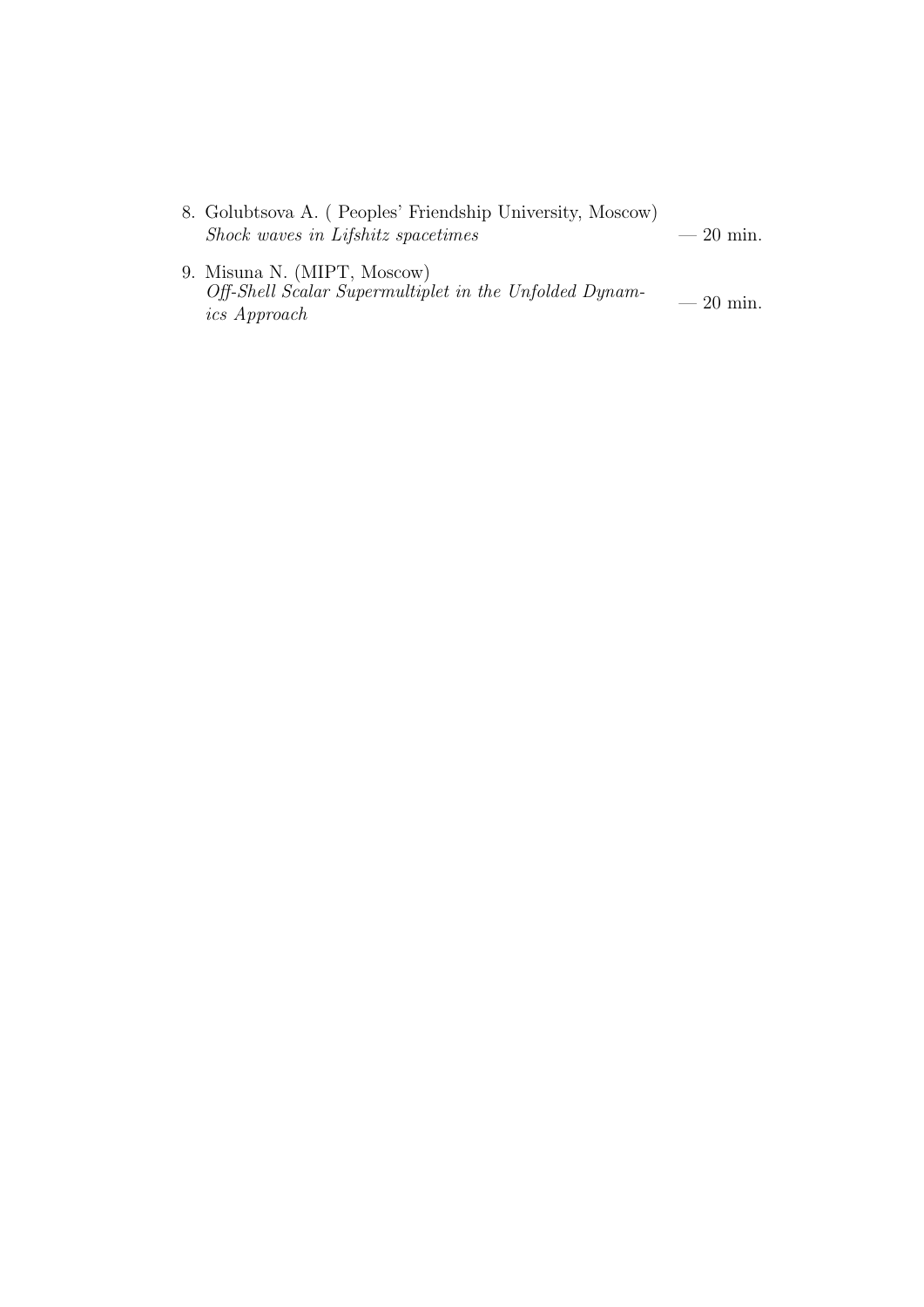- 8. Golubtsova A. ( Peoples' Friendship University, Moscow)  $\emph{Shock waves in Lifshitz spacetimes}$   $-20$  min.
- 9. Misuna N. (MIPT, Moscow) Off-Shell Scalar Supermultiplet in the Unfolded Dynam-<br>  $\frac{1}{100}$  = 20 min.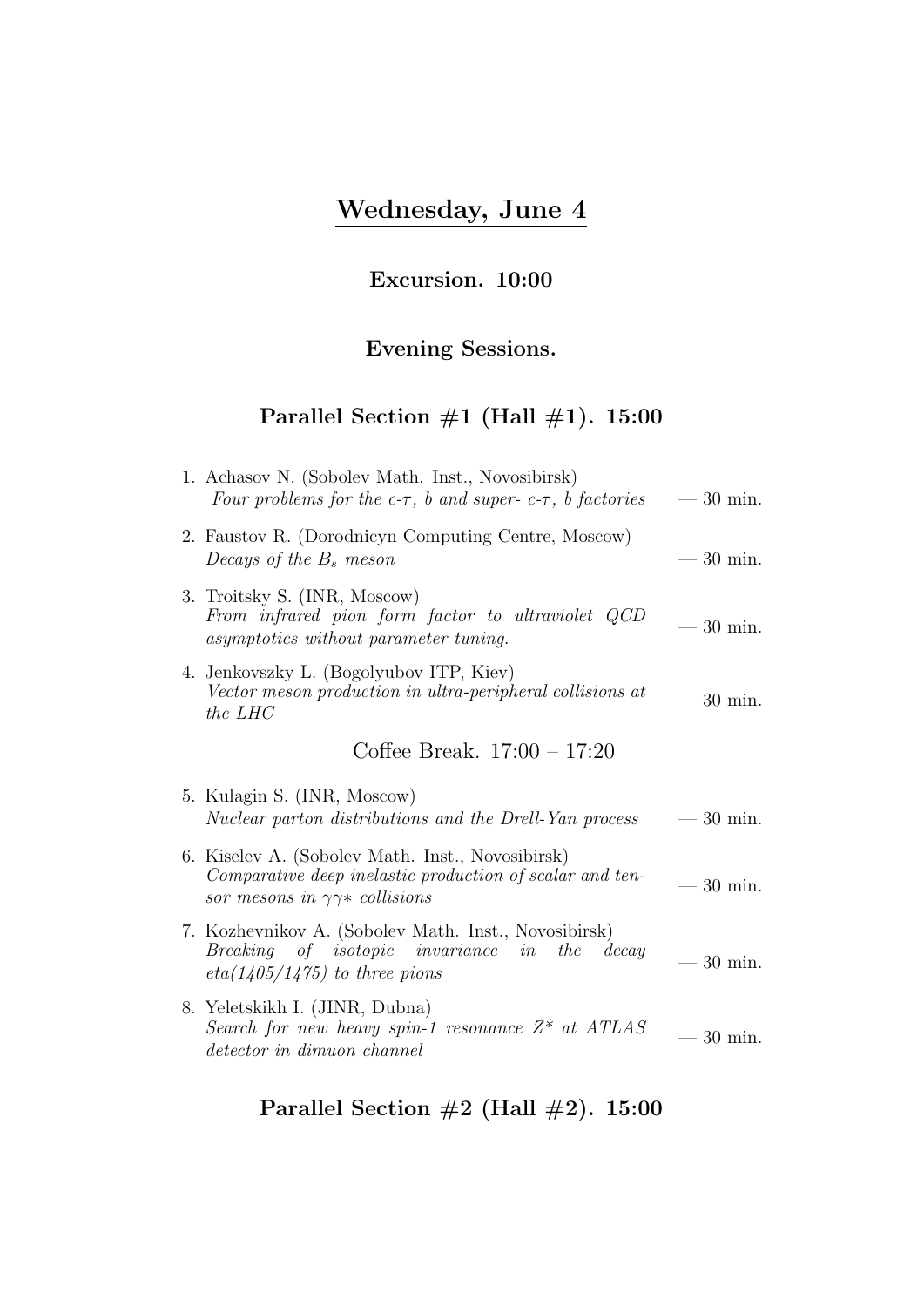# Wednesday, June 4

# Excursion. 10:00

#### Evening Sessions.

# Parallel Section  $\#1$  (Hall  $\#1$ ). 15:00

| 1. Achasov N. (Sobolev Math. Inst., Novosibirsk)<br>Four problems for the c- $\tau$ , b and super-c- $\tau$ , b factories                                | $-30$ min.                                    |
|----------------------------------------------------------------------------------------------------------------------------------------------------------|-----------------------------------------------|
| 2. Faustov R. (Dorodnicyn Computing Centre, Moscow)<br>Decays of the $B_s$ meson                                                                         | $-30$ min.                                    |
| 3. Troitsky S. (INR, Moscow)<br>From infrared pion form factor to ultraviolet QCD<br>asymptotics without parameter tuning.                               | $30 \text{ min.}$<br>$\overline{\phantom{m}}$ |
| 4. Jenkovszky L. (Bogolyubov ITP, Kiev)<br>Vector meson production in ultra-peripheral collisions at<br>the LHC                                          | $-30$ min.                                    |
| Coffee Break. $17:00 - 17:20$                                                                                                                            |                                               |
|                                                                                                                                                          |                                               |
| 5. Kulagin S. (INR, Moscow)<br>Nuclear parton distributions and the Drell-Yan process                                                                    | $-30$ min.                                    |
| 6. Kiselev A. (Sobolev Math. Inst., Novosibirsk)<br>Comparative deep inelastic production of scalar and ten-<br>sor mesons in $\gamma\gamma*$ collisions | $-30$ min.                                    |
| 7. Kozhevnikov A. (Sobolev Math. Inst., Novosibirsk)<br>Breaking of isotopic invariance in<br>the<br>decay<br>$eta(1405/1475)$ to three pions            | $-30$ min.                                    |
| 8. Yeletskikh I. (JINR, Dubna)<br>Search for new heavy spin-1 resonance $Z^*$ at ATLAS<br>detector in dimuon channel                                     | $30 \text{ min.}$                             |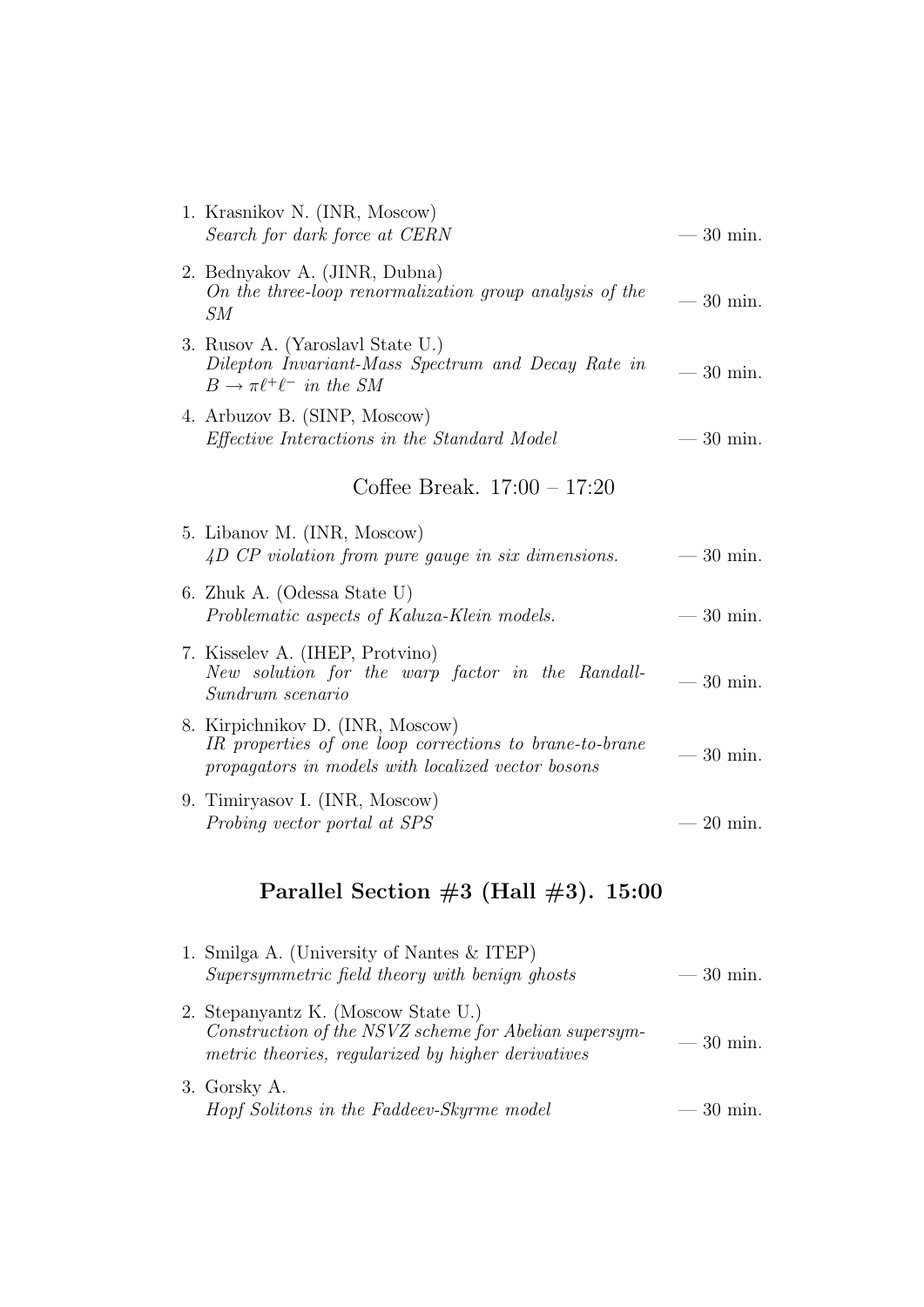| 1. Krasnikov N. (INR, Moscow)<br>Search for dark force at CERN                                                                                    | $-30$ min.        |
|---------------------------------------------------------------------------------------------------------------------------------------------------|-------------------|
| 2. Bednyakov A. (JINR, Dubna)<br>On the three-loop renormalization group analysis of the<br>SM                                                    | $-30$ min.        |
| 3. Rusov A. (Yaroslavl State U.)<br>Dilepton Invariant-Mass Spectrum and Decay Rate in<br>$B \to \pi \ell^+ \ell^-$ in the SM                     | $-30$ min.        |
| 4. Arbuzov B. (SINP, Moscow)<br><i>Effective Interactions in the Standard Model</i>                                                               | $-30$ min.        |
| Coffee Break. $17:00 - 17:20$                                                                                                                     |                   |
| 5. Libanov M. (INR, Moscow)<br>4D CP violation from pure gauge in six dimensions.                                                                 | $-30$ min.        |
| 6. Zhuk A. (Odessa State U)<br>Problematic aspects of Kaluza-Klein models.                                                                        | $-30$ min.        |
| 7. Kisselev A. (IHEP, Protvino)<br>New solution for the warp factor in the Randall-<br>Sundrum scenario                                           | $-30$ min.        |
| 8. Kirpichnikov D. (INR, Moscow)<br>IR properties of one loop corrections to brane-to-brane<br>propagators in models with localized vector bosons | $-30$ min.        |
| 9. Timiryasov I. (INR, Moscow)<br>Probing vector portal at SPS                                                                                    | $20 \text{ min.}$ |

| 1. Smilga A. (University of Nantes & ITEP)<br>Supersymmetric field theory with benign ghosts                                                       | $-30$ min. |
|----------------------------------------------------------------------------------------------------------------------------------------------------|------------|
| 2. Stepanyantz K. (Moscow State U.)<br>Construction of the NSVZ scheme for Abelian supersym-<br>metric theories, regularized by higher derivatives | $-30$ min. |
| 3. Gorsky A.<br>Hopf Solitons in the Faddeev-Skyrme model                                                                                          | $-30$ min. |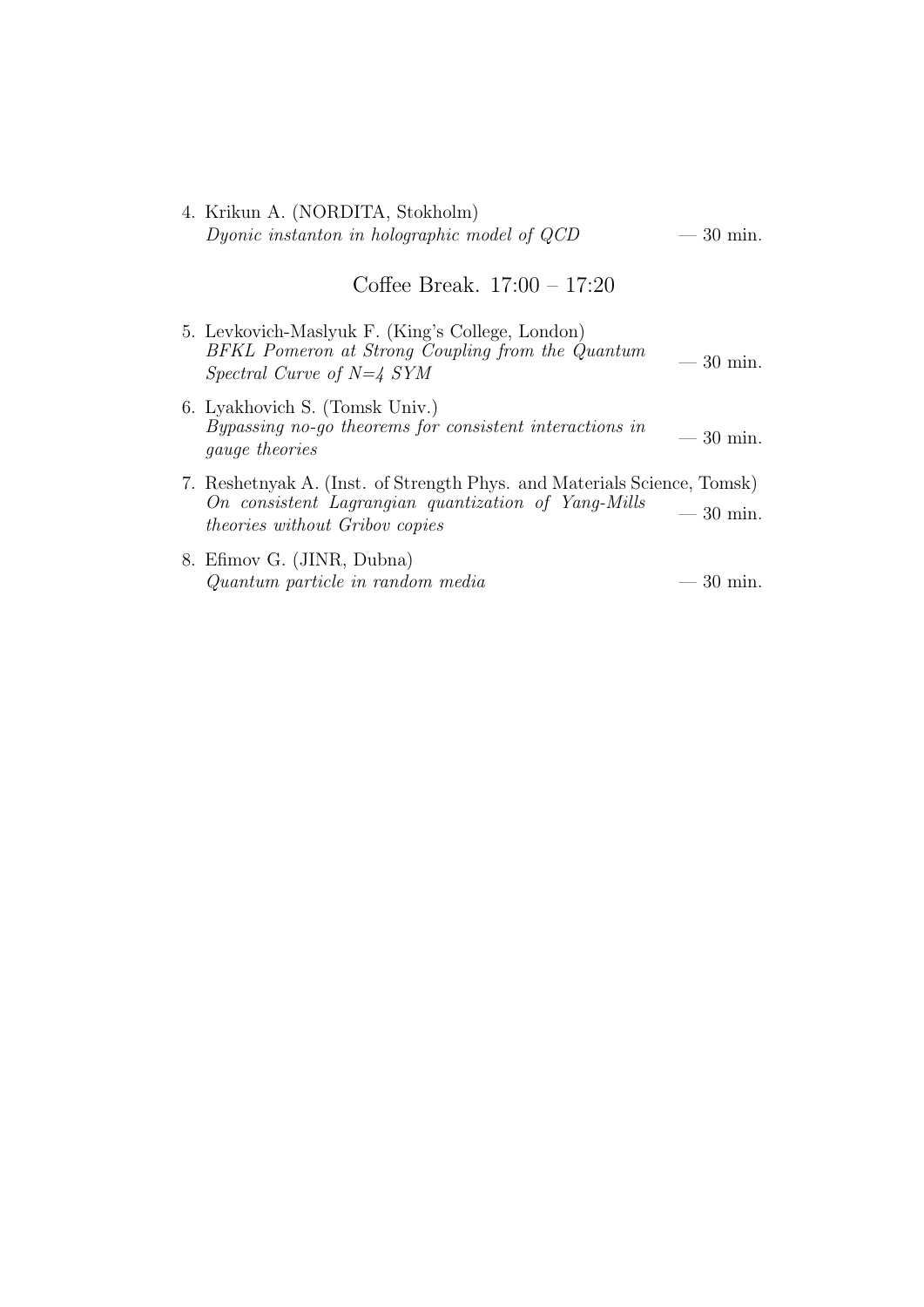4. Krikun A. (NORDITA, Stokholm) Dyonic instanton in holographic model of  $QCD$   $-30$  min.

#### Coffee Break. 17:00 – 17:20

- 5. Levkovich-Maslyuk F. (King's College, London) BFKL Pomeron at Strong Coupling from the Quantum  $S_{\text{P}}$   $S_{\text{V}}$   $S_{\text{V}}$   $S_{\text{V}}$   $S_{\text{V}}$   $S_{\text{V}}$   $S_{\text{V}}$   $S_{\text{V}}$   $S_{\text{V}}$   $S_{\text{V}}$   $S_{\text{V}}$   $S_{\text{V}}$   $S_{\text{V}}$   $S_{\text{V}}$   $S_{\text{V}}$   $S_{\text{V}}$   $S_{\text{V}}$   $S_{\text{V}}$   $S_{\text{V}}$   $S_{\text{V}}$   $S_{\text{V}}$   $S_{\text{V}}$  6. Lyakhovich S. (Tomsk Univ.) Bypassing no-go theorems for consistent interactions in  $\qquad \qquad -30 \text{ min.}$ 7. Reshetnyak A. (Inst. of Strength Phys. and Materials Science, Tomsk) On consistent Lagrangian quantization of Yang-Mills  $t_{\text{noise}}$  to the sistem Eugenologian quantization by Tang-Mats  $-30$  min.
- 8. Efimov G. (JINR, Dubna)  $Quantum particle in random media$  — 30 min.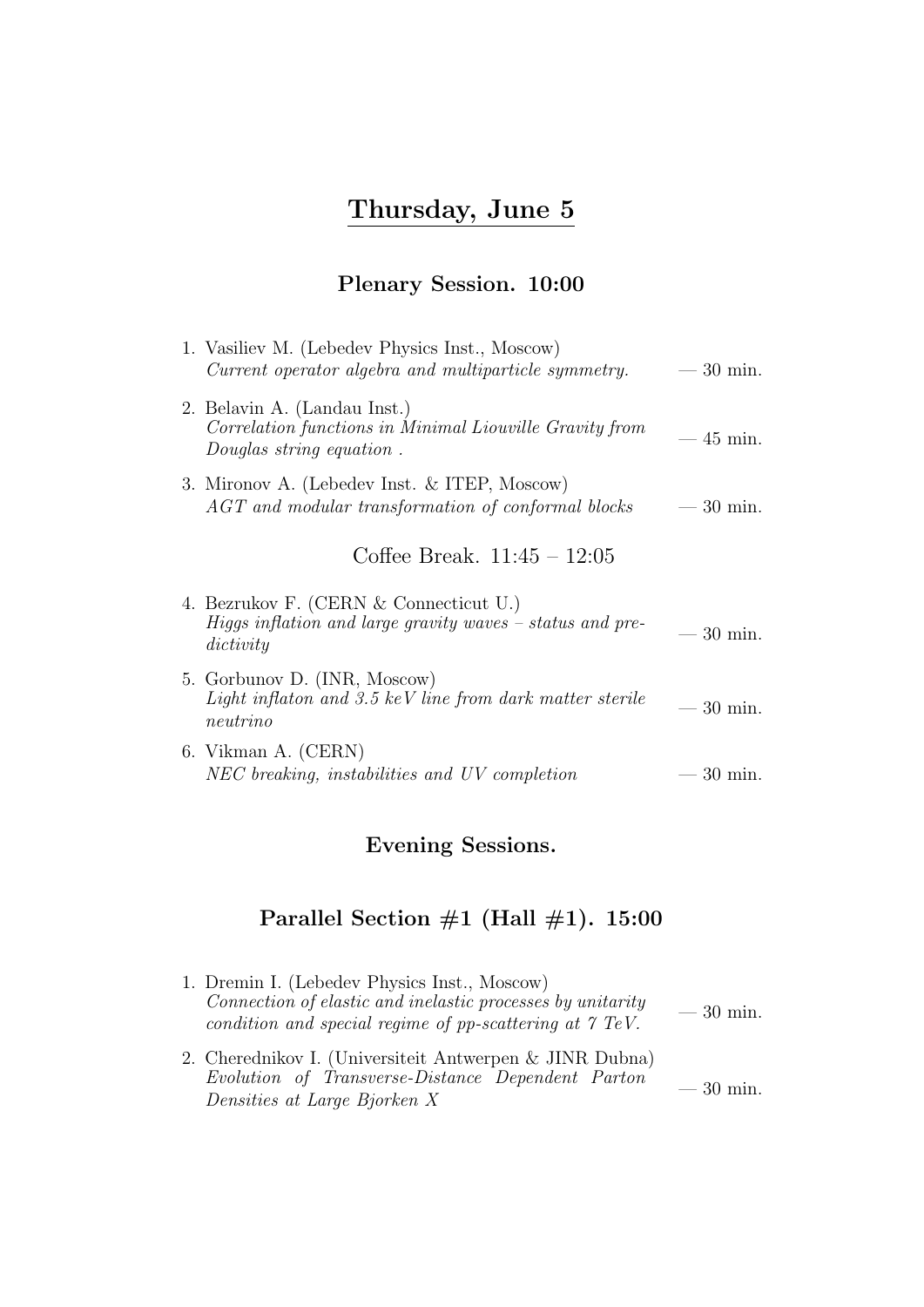# Thursday, June 5

# Plenary Session. 10:00

| 1. Vasiliev M. (Lebedev Physics Inst., Moscow)<br>Current operator algebra and multiparticle symmetry.              | $-30$ min. |
|---------------------------------------------------------------------------------------------------------------------|------------|
| 2. Belavin A. (Landau Inst.)<br>Correlation functions in Minimal Liouville Gravity from<br>Douglas string equation. | $-45$ min. |
| 3. Mironov A. (Lebedev Inst. & ITEP, Moscow)<br>$AGT$ and modular transformation of conformal blocks                | $-30$ min. |
| Coffee Break. $11:45 - 12:05$                                                                                       |            |
| 4. Bezrukov F. (CERN & Connecticut U.)<br>Higgs inflation and large gravity waves $-$ status and pre-<br>dictivity  | $-30$ min. |
| 5. Gorbunov D. (INR, Moscow)<br>Light inflaton and 3.5 keV line from dark matter sterile<br>neutrino                | $-30$ min. |
| 6. Vikman A. (CERN)<br>NEC breaking, instabilities and UV completion                                                | $-30$ min. |

# Evening Sessions.

| 1. Dremin I. (Lebedev Physics Inst., Moscow)<br>Connection of elastic and inelastic processes by unitarity<br>condition and special regime of pp-scattering at $\gamma$ TeV. | $-30$ min. |
|------------------------------------------------------------------------------------------------------------------------------------------------------------------------------|------------|
| 2. Cherednikov I. (Universiteit Antwerpen & JINR Dubna)<br>Evolution of Transverse-Distance Dependent Parton<br>Densities at Large Bjorken X                                 | $-30$ min. |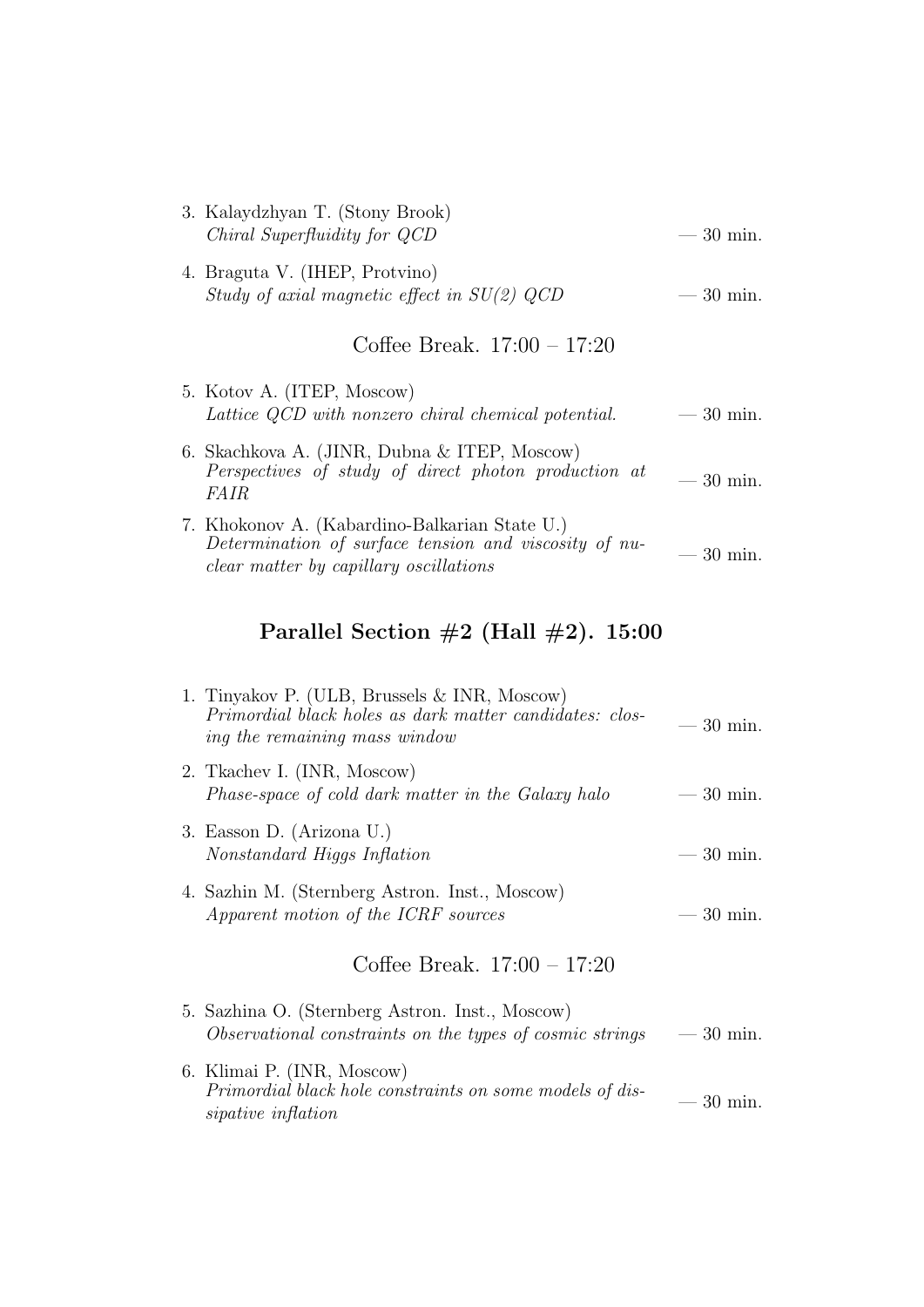| 3. Kalaydzhyan T. (Stony Brook)<br>Chiral Superfluidity for QCD                                                                                         | $-30$ min. |
|---------------------------------------------------------------------------------------------------------------------------------------------------------|------------|
| 4. Braguta V. (IHEP, Protvino)<br>Study of axial magnetic effect in $SU(2)$ QCD                                                                         | $-30$ min. |
| Coffee Break. $17:00 - 17:20$                                                                                                                           |            |
| 5. Kotov A. (ITEP, Moscow)<br>Lattice QCD with nonzero chiral chemical potential.                                                                       | $-30$ min. |
| 6. Skachkova A. (JINR, Dubna & ITEP, Moscow)<br>Perspectives of study of direct photon production at<br><i>FAIR</i>                                     | $-30$ min. |
| 7. Khokonov A. (Kabardino-Balkarian State U.)<br>Determination of surface tension and viscosity of nu-<br><i>clear matter by capillary oscillations</i> | 30 min.    |
| Parallel Section $\#2$ (Hall $\#2$ ). 15:00                                                                                                             |            |

| 1. Tinyakov P. (ULB, Brussels & INR, Moscow)<br>Primordial black holes as dark matter candidates: clos-<br>ing the remaining mass window | $-30$ min. |
|------------------------------------------------------------------------------------------------------------------------------------------|------------|
| 2. Tkachev I. (INR, Moscow)<br>Phase-space of cold dark matter in the Galaxy halo                                                        | $-30$ min. |
| 3. Easson D. (Arizona U.)<br>Nonstandard Higgs Inflation                                                                                 | $-30$ min. |
| 4. Sazhin M. (Sternberg Astron. Inst., Moscow)<br>Apparent motion of the ICRF sources                                                    | $-30$ min. |
| Coffee Break. $17:00 - 17:20$                                                                                                            |            |
| 5. Sazhina O. (Sternberg Astron. Inst., Moscow)<br>Observational constraints on the types of cosmic strings                              | $-30$ min. |
| 6. Klimai P. (INR, Moscow)<br>Primordial black hole constraints on some models of dis-<br>sipative inflation                             | $-30$ min. |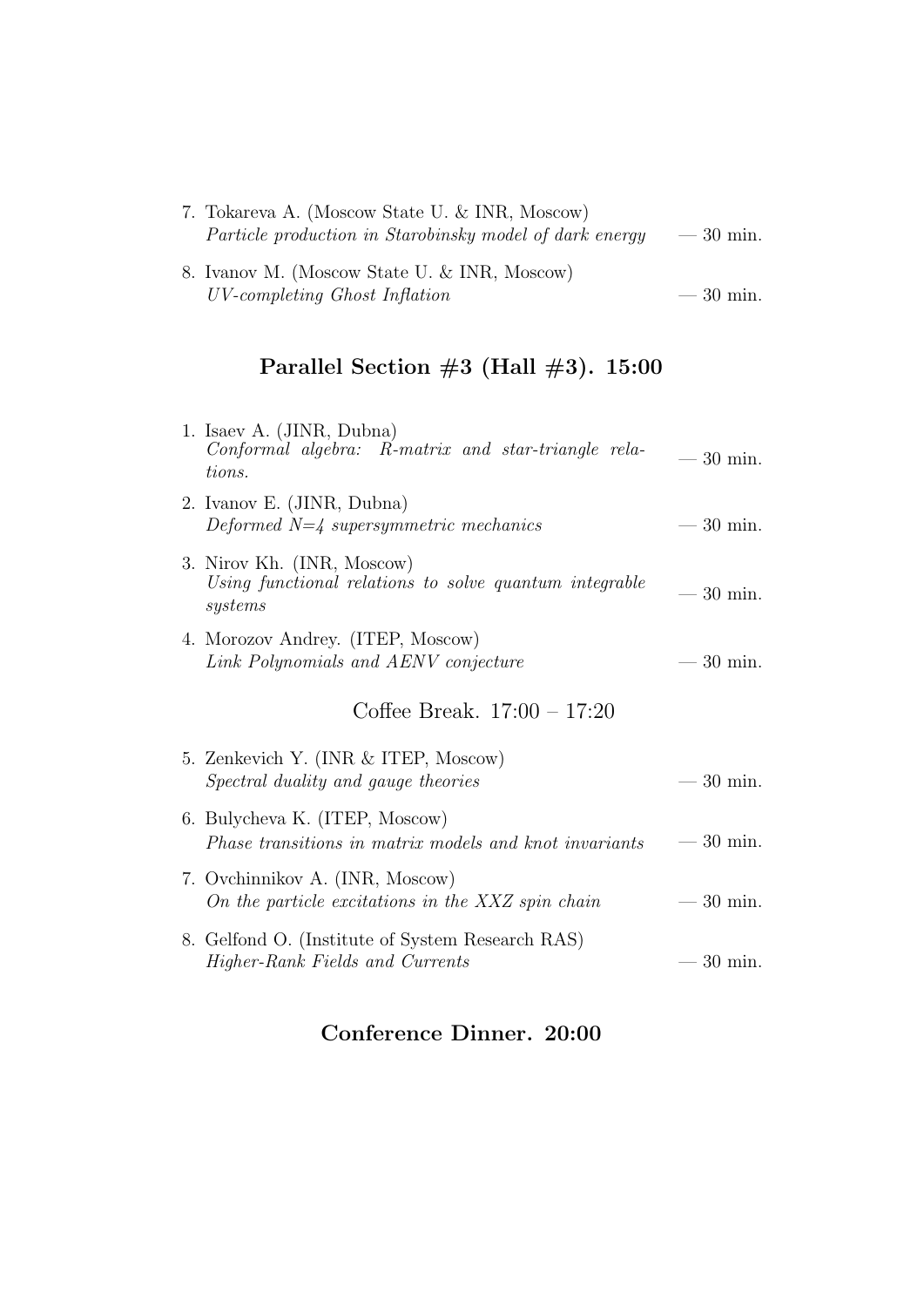| 7. Tokareva A. (Moscow State U. & INR, Moscow)                 |            |
|----------------------------------------------------------------|------------|
| <i>Particle production in Starobinsky model of dark energy</i> | $-30$ min. |
| 8. Ivanov M. (Moscow State U. & INR, Moscow)                   |            |
| UV-completing Ghost Inflation                                  | $-30$ min. |

# Parallel Section  $#3$  (Hall  $#3$ ). 15:00

| 1. Isaev A. (JINR, Dubna)                                                                       |            |
|-------------------------------------------------------------------------------------------------|------------|
| Conformal algebra: R-matrix and star-triangle rela-<br>tions.                                   | $-30$ min. |
| 2. Ivanov E. (JINR, Dubna)<br>Deformed $N=\frac{1}{4}$ supersymmetric mechanics                 | $-30$ min. |
| 3. Nirov Kh. (INR, Moscow)<br>Using functional relations to solve quantum integrable<br>systems | $-30$ min. |
| 4. Morozov Andrey. (ITEP, Moscow)<br>Link Polynomials and AENV conjecture                       | $-30$ min. |
| Coffee Break. $17:00 - 17:20$                                                                   |            |
| 5. Zenkevich Y. (INR & ITEP, Moscow)<br>Spectral duality and gauge theories                     | $-30$ min. |
| 6. Bulycheva K. (ITEP, Moscow)<br>Phase transitions in matrix models and knot invariants        | $-30$ min. |
| 7. Ovchinnikov A. (INR, Moscow)<br>On the particle excitations in the XXZ spin chain            | $-30$ min. |
| 8. Gelfond O. (Institute of System Research RAS)<br>Higher-Rank Fields and Currents             | $-30$ min. |

# Conference Dinner. 20:00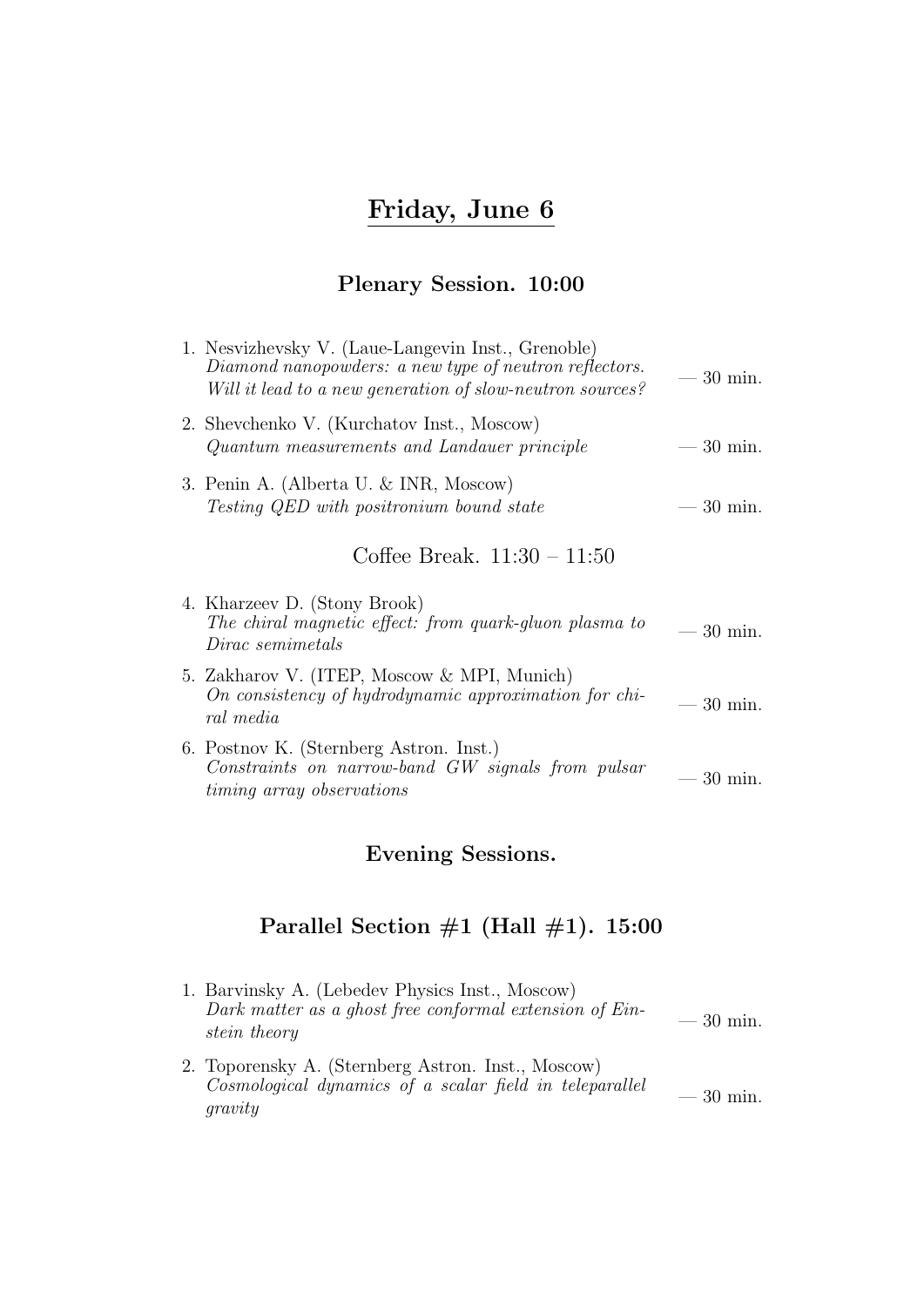# Friday, June 6

# Plenary Session. 10:00

| 1. Nesvizhevsky V. (Laue-Langevin Inst., Grenoble)<br>Diamond nanopowders: a new type of neutron reflectors.<br>Will it lead to a new generation of slow-neutron sources? | $-30$ min.        |
|---------------------------------------------------------------------------------------------------------------------------------------------------------------------------|-------------------|
| 2. Shevchenko V. (Kurchatov Inst., Moscow)<br>Quantum measurements and Landauer principle                                                                                 | $-30$ min.        |
| 3. Penin A. (Alberta U. & INR, Moscow)<br>Testing QED with positronium bound state                                                                                        | $-30$ min.        |
| Coffee Break. $11:30 - 11:50$                                                                                                                                             |                   |
| 4. Kharzeev D. (Stony Brook)<br>The chiral magnetic effect: from quark-gluon plasma to<br>Dirac semimetals                                                                | $-30$ min.        |
| 5. Zakharov V. (ITEP, Moscow & MPI, Munich)<br>On consistency of hydrodynamic approximation for chi-<br>ral media                                                         | $-30$ min.        |
| 6. Postnov K. (Sternberg Astron. Inst.)<br>Constraints on narrow-band GW signals from pulsar<br><i>timing array observations</i>                                          | $30 \text{ min.}$ |

# Evening Sessions.

| 1. Barvinsky A. (Lebedev Physics Inst., Moscow)<br>Dark matter as a ghost free conformal extension of Ein-<br><i>stein theory</i> | $-30$ min. |
|-----------------------------------------------------------------------------------------------------------------------------------|------------|
| 2. Toporensky A. (Sternberg Astron. Inst., Moscow)<br>Cosmological dynamics of a scalar field in teleparallel<br>gravity          | $-30$ min. |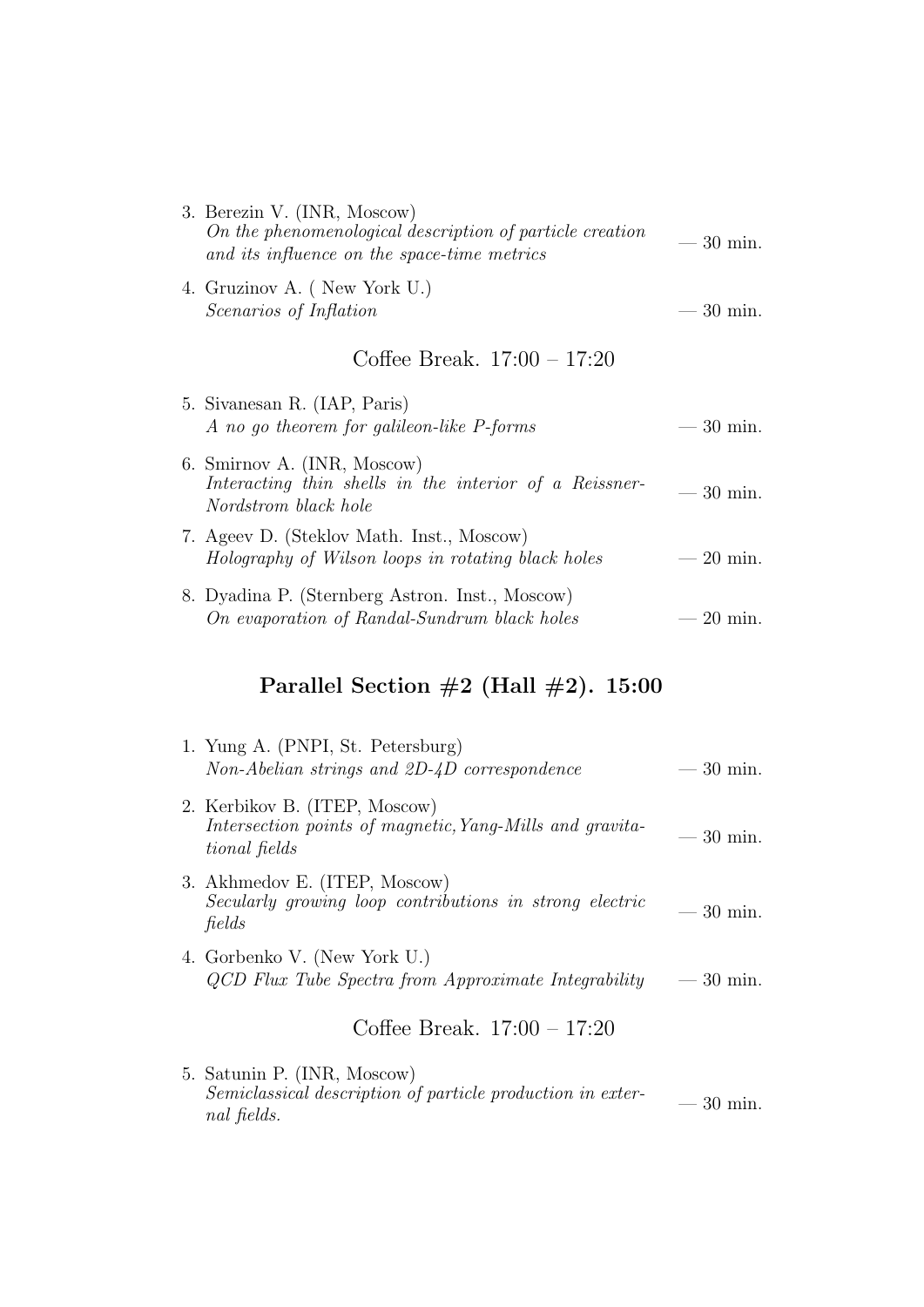| 3. Berezin V. (INR, Moscow)<br>On the phenomenological description of particle creation<br>and its influence on the space-time metrics | $-30$ min. |
|----------------------------------------------------------------------------------------------------------------------------------------|------------|
| 4. Gruzinov A. (New York U.)<br><i>Scenarios of Inflation</i>                                                                          | $-30$ min. |
| Coffee Break. $17:00 - 17:20$                                                                                                          |            |
| 5. Sivanesan R. (IAP, Paris)<br>A no go theorem for galileon-like P-forms                                                              | $-30$ min. |
| 6. Smirnov A. (INR, Moscow)<br>Interacting thin shells in the interior of a Reissner-<br>Nordstrom black hole                          | $-30$ min. |
| 7. Ageev D. (Steklov Math. Inst., Moscow)<br>Holography of Wilson loops in rotating black holes                                        | $-20$ min. |
|                                                                                                                                        |            |

8. Dyadina P. (Sternberg Astron. Inst., Moscow) On evaporation of Randal-Sundrum black holes  $-20$  min.

### Parallel Section  $#2$  (Hall  $#2$ ). 15:00

| 1. Yung A. (PNPI, St. Petersburg)<br>Non-Abelian strings and 2D-4D correspondence                          | $-30$ min.  |
|------------------------------------------------------------------------------------------------------------|-------------|
| 2. Kerbikov B. (ITEP, Moscow)<br>Intersection points of magnetic, Yang-Mills and gravita-<br>tional fields | $-30$ min.  |
| 3. Akhmedov E. (ITEP, Moscow)<br>Secularly growing loop contributions in strong electric<br>fields         | $=$ 30 min. |
| 4. Gorbenko V. (New York U.)<br>QCD Flux Tube Spectra from Approximate Integrability                       | $-30$ min.  |
| Coffee Break. $17:00 - 17:20$                                                                              |             |
| 5. Satunin P. (INR, Moscow)                                                                                |             |

Semiclassical description of particle production in exter-<br>nal fields.  $-30$  min.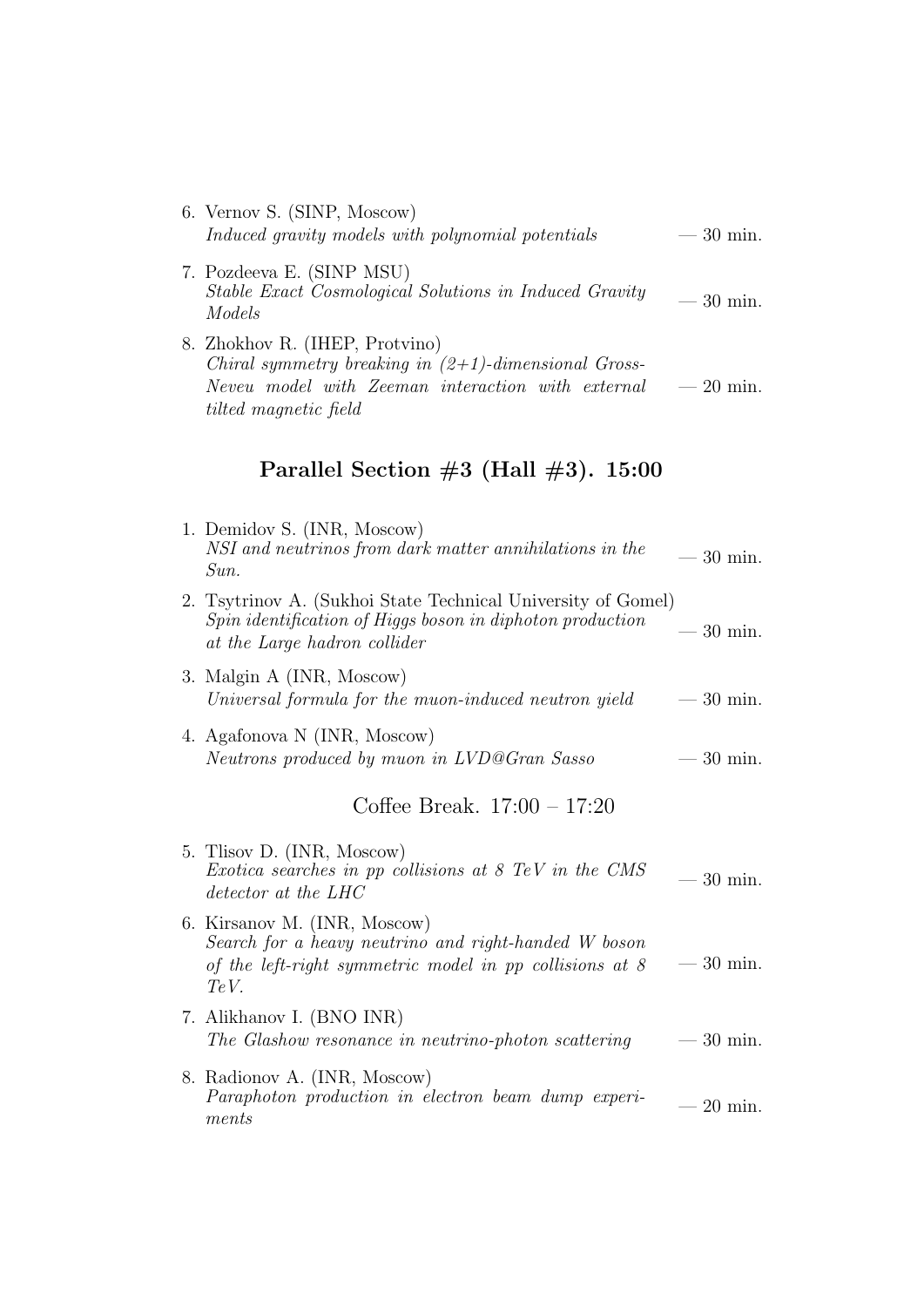| 6. Vernov S. (SINP, Moscow)<br>Induced gravity models with polynomial potentials    | $-30$ min. |
|-------------------------------------------------------------------------------------|------------|
| 7. Pozdeeva E. (SINP MSU)<br>Stable Exact Cosmological Solutions in Induced Gravity | $-30$ min. |

Models

8. Zhokhov R. (IHEP, Protvino) Chiral symmetry breaking in  $(2+1)$ -dimensional Gross-Neveu model with Zeeman interaction with external tilted magnetic field  $-$  20 min.

| 1. Demidov S. (INR, Moscow)<br>NSI and neutrinos from dark matter annihilations in the<br>Sun.                                                              | $-30$ min.        |
|-------------------------------------------------------------------------------------------------------------------------------------------------------------|-------------------|
| 2. Tsytrinov A. (Sukhoi State Technical University of Gomel)<br>Spin identification of Higgs boson in diphoton production<br>at the Large hadron collider   | $=30$ min.        |
| 3. Malgin A (INR, Moscow)<br>Universal formula for the muon-induced neutron yield                                                                           | $-30$ min.        |
| 4. Agafonova N (INR, Moscow)<br>Neutrons produced by muon in LVD@Gran Sasso                                                                                 | $-30$ min.        |
| Coffee Break. $17:00 - 17:20$                                                                                                                               |                   |
| 5. Tlisov D. (INR, Moscow)<br>Exotica searches in pp collisions at 8 TeV in the CMS<br>detector at the LHC                                                  | $-30$ min.        |
| 6. Kirsanov M. (INR, Moscow)<br>Search for a heavy neutrino and right-handed W boson<br>of the left-right symmetric model in $pp$ collisions at $8$<br>TeV. | $-30$ min.        |
| 7. Alikhanov I. (BNO INR)<br>The Glashow resonance in neutrino-photon scattering                                                                            | $-30$ min.        |
| 8. Radionov A. (INR, Moscow)<br>Paraphoton production in electron beam dump experi-<br>ments                                                                | $20 \text{ min.}$ |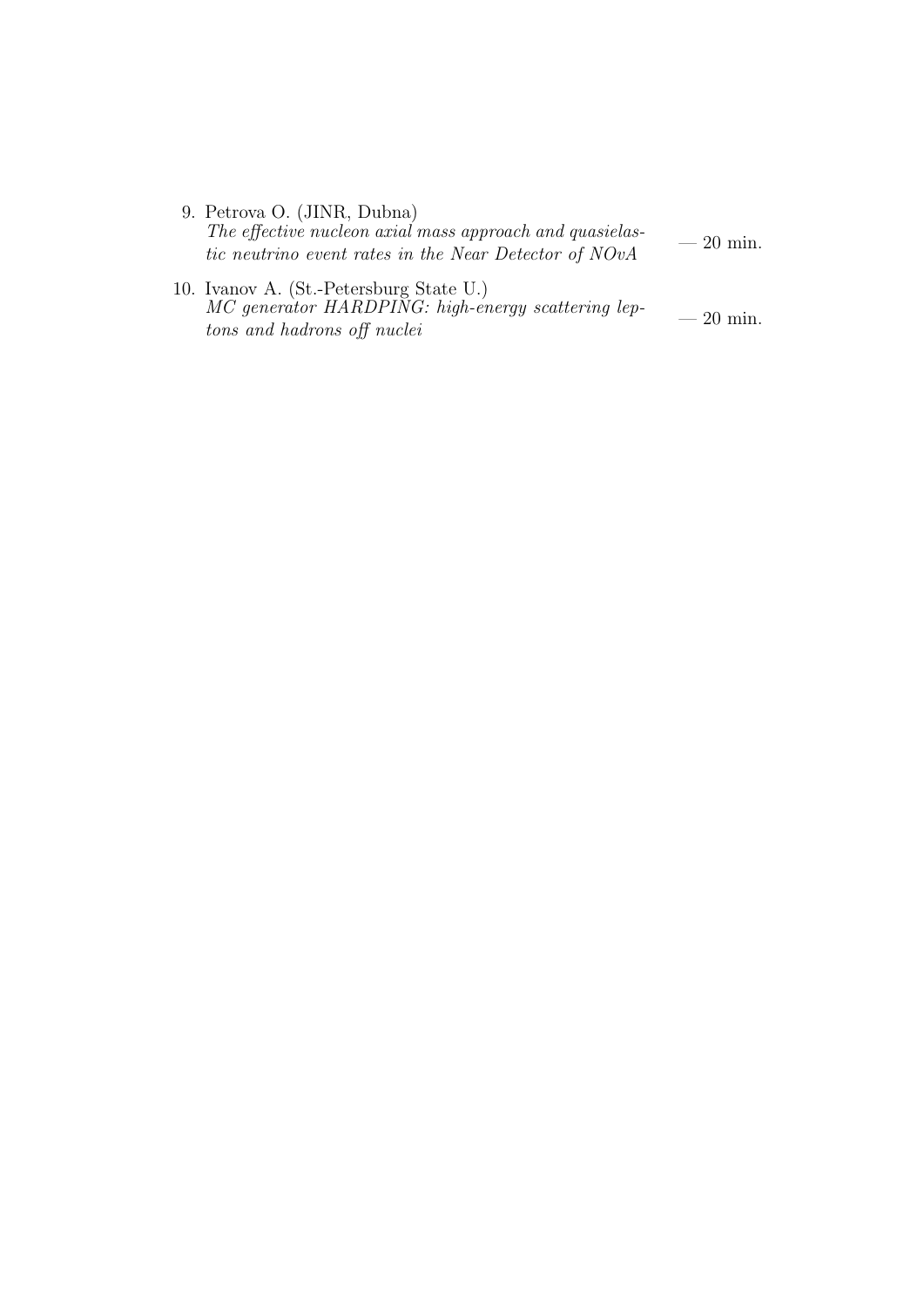| 9. Petrova O. (JINR, Dubna)                              |            |
|----------------------------------------------------------|------------|
| The effective nucleon axial mass approach and quasielas- |            |
| tic neutrino event rates in the Near Detector of NOvA    | $-20$ min. |
|                                                          |            |

10. Ivanov A. (St.-Petersburg State U.) MC generator HARDPING: high-energy scattering lep- $MC$  generator HARDPING: high-energy scattering tep-<br>tons and hadrons off nuclei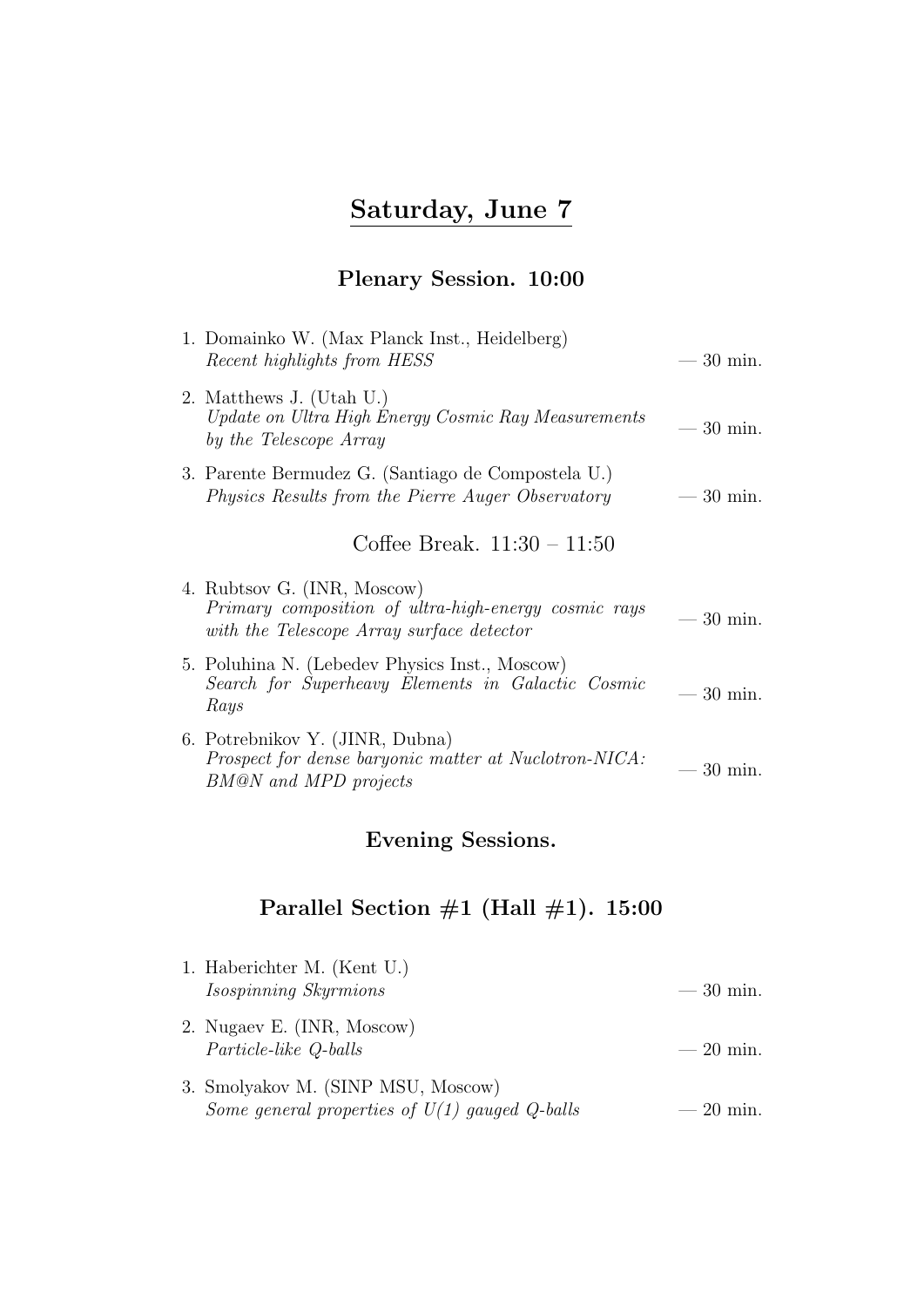# Saturday, June 7

### Plenary Session. 10:00

| Recent highlights from HESS                                                                       | $-30$ min.                                                                                                                                                                                                                                          |
|---------------------------------------------------------------------------------------------------|-----------------------------------------------------------------------------------------------------------------------------------------------------------------------------------------------------------------------------------------------------|
| Update on Ultra High Energy Cosmic Ray Measurements<br>by the Telescope Array                     | $30 \text{ min.}$<br>$\overline{\phantom{a}}$                                                                                                                                                                                                       |
| <i>Physics Results from the Pierre Auger Observatory</i>                                          | $-30$ min.                                                                                                                                                                                                                                          |
| Coffee Break. $11:30 - 11:50$                                                                     |                                                                                                                                                                                                                                                     |
| Primary composition of ultra-high-energy cosmic rays<br>with the Telescope Array surface detector | $-30$ min.                                                                                                                                                                                                                                          |
| Search for Superheavy Elements in Galactic Cosmic<br>Rays                                         | $-30$ min.                                                                                                                                                                                                                                          |
| Prospect for dense baryonic matter at Nuclotron-NICA:<br>BM@N and MPD projects                    | $-30$ min.                                                                                                                                                                                                                                          |
|                                                                                                   | 1. Domainko W. (Max Planck Inst., Heidelberg)<br>2. Matthews J. (Utah U.)<br>3. Parente Bermudez G. (Santiago de Compostela U.)<br>4. Rubtsov G. (INR, Moscow)<br>5. Poluhina N. (Lebedev Physics Inst., Moscow)<br>6. Potrebnikov Y. (JINR, Dubna) |

### Evening Sessions.

| 1. Haberichter M. (Kent U.)<br>Isospinning Skyrmions                                   | $-30$ min. |
|----------------------------------------------------------------------------------------|------------|
| 2. Nugaev E. (INR, Moscow)<br><i>Particle-like Q-balls</i>                             | $-20$ min. |
| 3. Smolyakov M. (SINP MSU, Moscow)<br>Some general properties of $U(1)$ gauged Q-balls | $-20$ min. |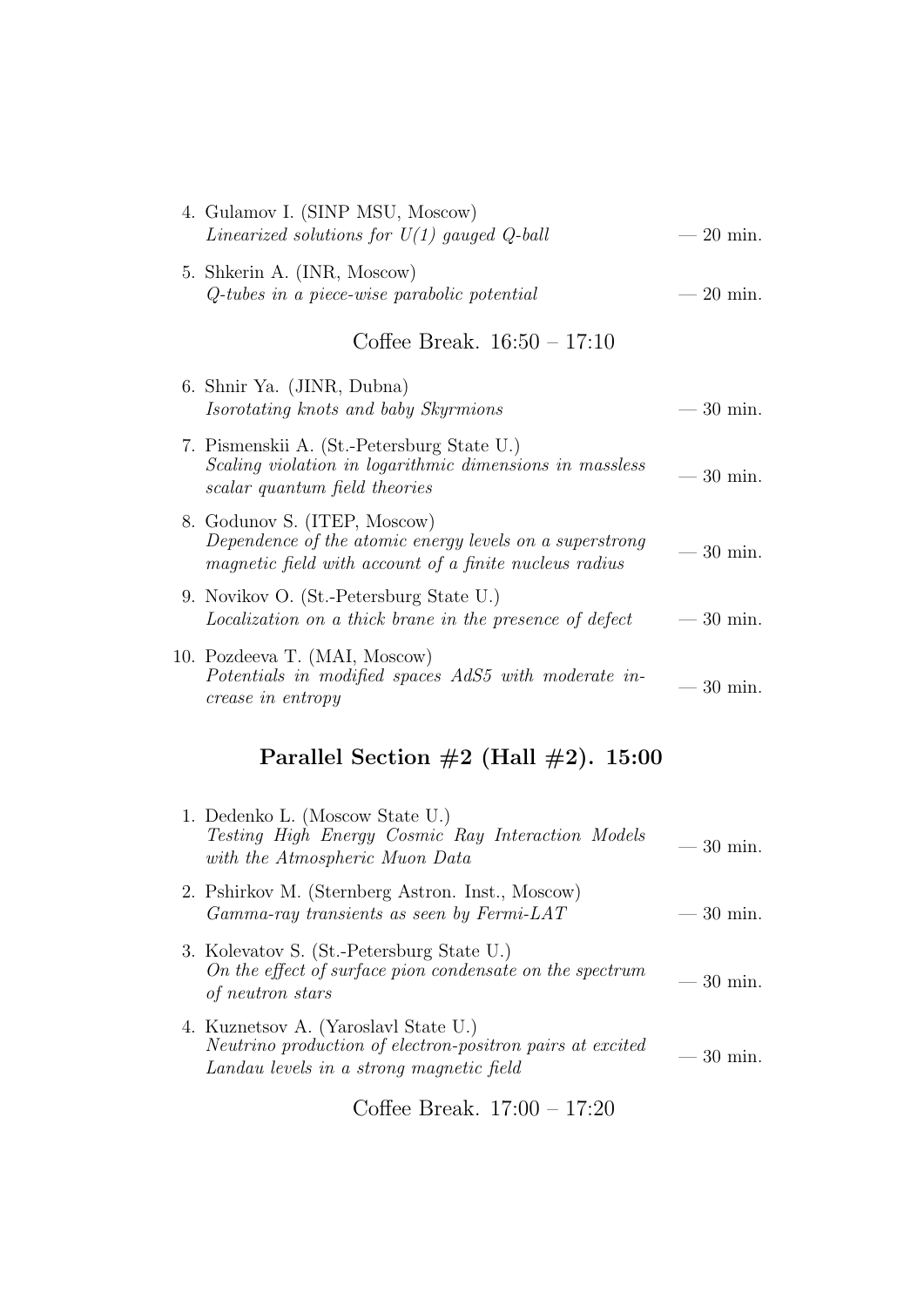| 4. Gulamov I. (SINP MSU, Moscow)<br>Linearized solutions for $U(1)$ gauged Q-ball                                                                 | $20 \text{ min.}$ |
|---------------------------------------------------------------------------------------------------------------------------------------------------|-------------------|
| 5. Shkerin A. (INR, Moscow)<br>Q-tubes in a piece-wise parabolic potential                                                                        | $20 \text{ min.}$ |
| Coffee Break. $16:50 - 17:10$                                                                                                                     |                   |
| 6. Shnir Ya. (JINR, Dubna)<br>Isorotating knots and baby Skyrmions                                                                                | 30 min.           |
| 7. Pismenskii A. (St.-Petersburg State U.)<br>Scaling violation in logarithmic dimensions in massless<br>scalar quantum field theories            | $30 \text{ min.}$ |
| 8. Godunov S. (ITEP, Moscow)<br>Dependence of the atomic energy levels on a superstrong<br>magnetic field with account of a finite nucleus radius | 30 min.           |
| 9. Novikov O. (St.-Petersburg State U.)<br>Localization on a thick brane in the presence of defect                                                | $-30$ min.        |
| 10. Pozdeeva T. (MAI, Moscow)<br>Potentials in modified spaces AdS5 with moderate in-<br><i>crease in entropy</i>                                 | $30 \text{ min.}$ |
| Parallel Section $#2$ (Hall $#2$ ). 15:00                                                                                                         |                   |
| 1. Dedenko L. (Moscow State U.)<br>Testing High Energy Cosmic Ray Interaction Models<br>with the Atmospheric Muon Data                            | $30 \text{ min.}$ |
| 2. Pshirkov M. (Sternberg Astron. Inst., Moscow)<br>Gamma-ray transients as seen by Fermi-LAT                                                     | $30 \text{ min.}$ |
| 3. Kolevatov S. (St.-Petersburg State U.)<br>On the effect of surface pion condensate on the spectrum<br>of neutron stars                         | $30 \text{ min.}$ |
| 4. Kuznetsov A. (Yaroslavl State U.)<br>Neutrino production of electron-positron pairs at excited<br>Landau levels in a strong magnetic field     | $30 \text{ min.}$ |
| Coffee Break. $17:00 - 17:20$                                                                                                                     |                   |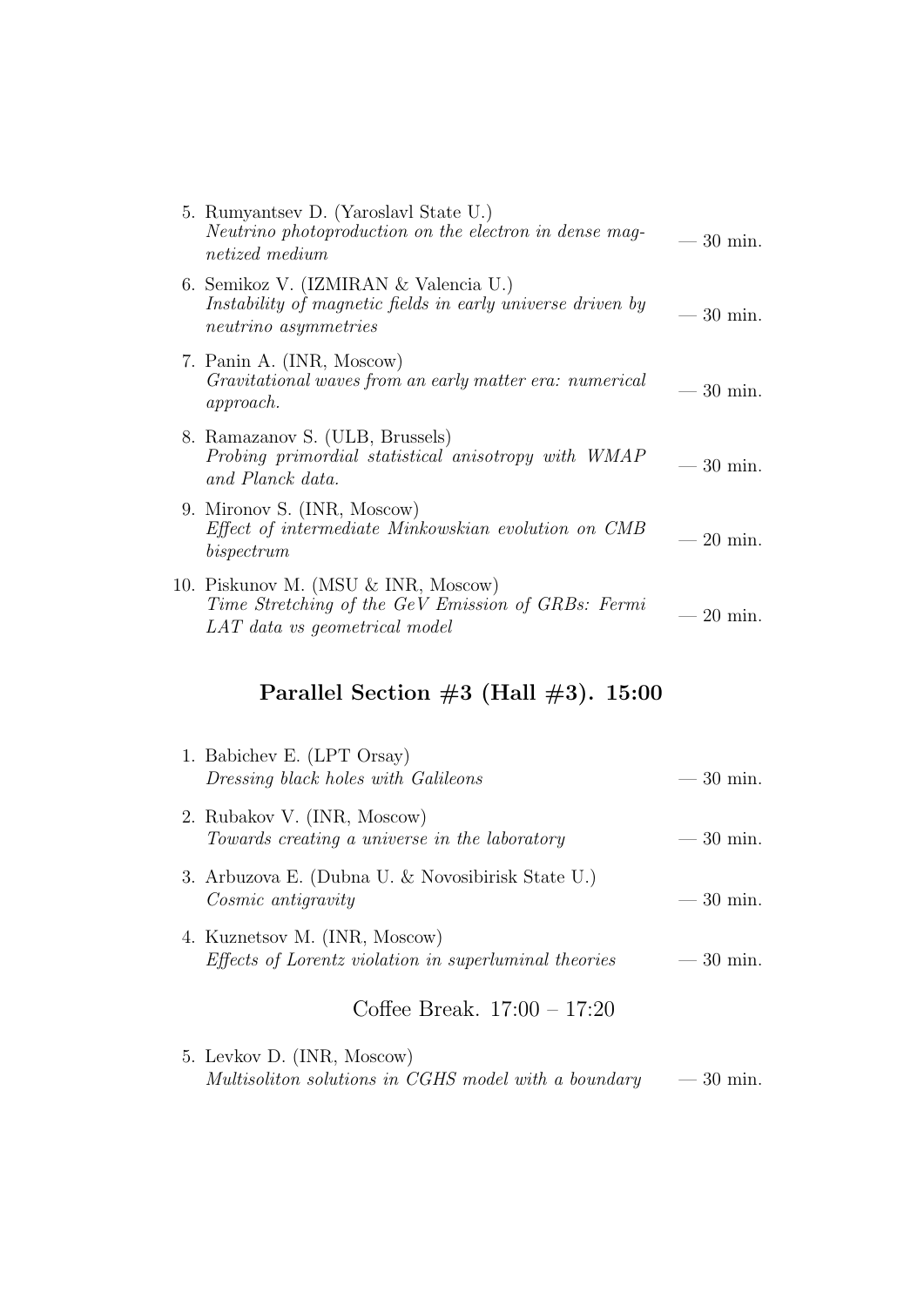| 5. Rumyantsev D. (Yaroslavl State U.)<br>Neutrino photoproduction on the electron in dense mag-<br><i>netized</i> medium    | $-30$ min.        |
|-----------------------------------------------------------------------------------------------------------------------------|-------------------|
| 6. Semikoz V. (IZMIRAN & Valencia U.)<br>Instability of magnetic fields in early universe driven by<br>neutrino asymmetries | $-30$ min.        |
| 7. Panin A. (INR, Moscow)<br>Gravitational waves from an early matter era: numerical<br><i>approach.</i>                    | $-30$ min.        |
| 8. Ramazanov S. (ULB, Brussels)<br>Probing primordial statistical anisotropy with WMAP<br>and Planck data.                  | $30 \text{ min.}$ |
| 9. Mironov S. (INR, Moscow)<br>Effect of intermediate Minkowskian evolution on CMB<br>bispectrum                            | $-20$ min.        |
| 10. Piskunov M. (MSU & INR, Moscow)<br>Time Stretching of the GeV Emission of GRBs: Fermi<br>LAT data vs geometrical model  | $20 \text{ min.}$ |

# Parallel Section  $#3$  (Hall  $#3$ ). 15:00

| 1. Babichev E. (LPT Orsay)<br>Dressing black holes with Galileons                             | $-30$ min. |
|-----------------------------------------------------------------------------------------------|------------|
| 2. Rubakov V. (INR, Moscow)<br>Towards creating a universe in the laboratory                  | $-30$ min. |
| 3. Arbuzova E. (Dubna U. & Novosibirisk State U.)<br><i>Cosmic antigravity</i>                | $-30$ min. |
| 4. Kuznetsov M. (INR, Moscow)<br><i>Effects of Lorentz violation in superluminal theories</i> | $-30$ min. |
| Coffee Break. $17:00 - 17:20$                                                                 |            |

5. Levkov D. (INR, Moscow) Multisoliton solutions in CGHS model with a boundary  $-30$  min.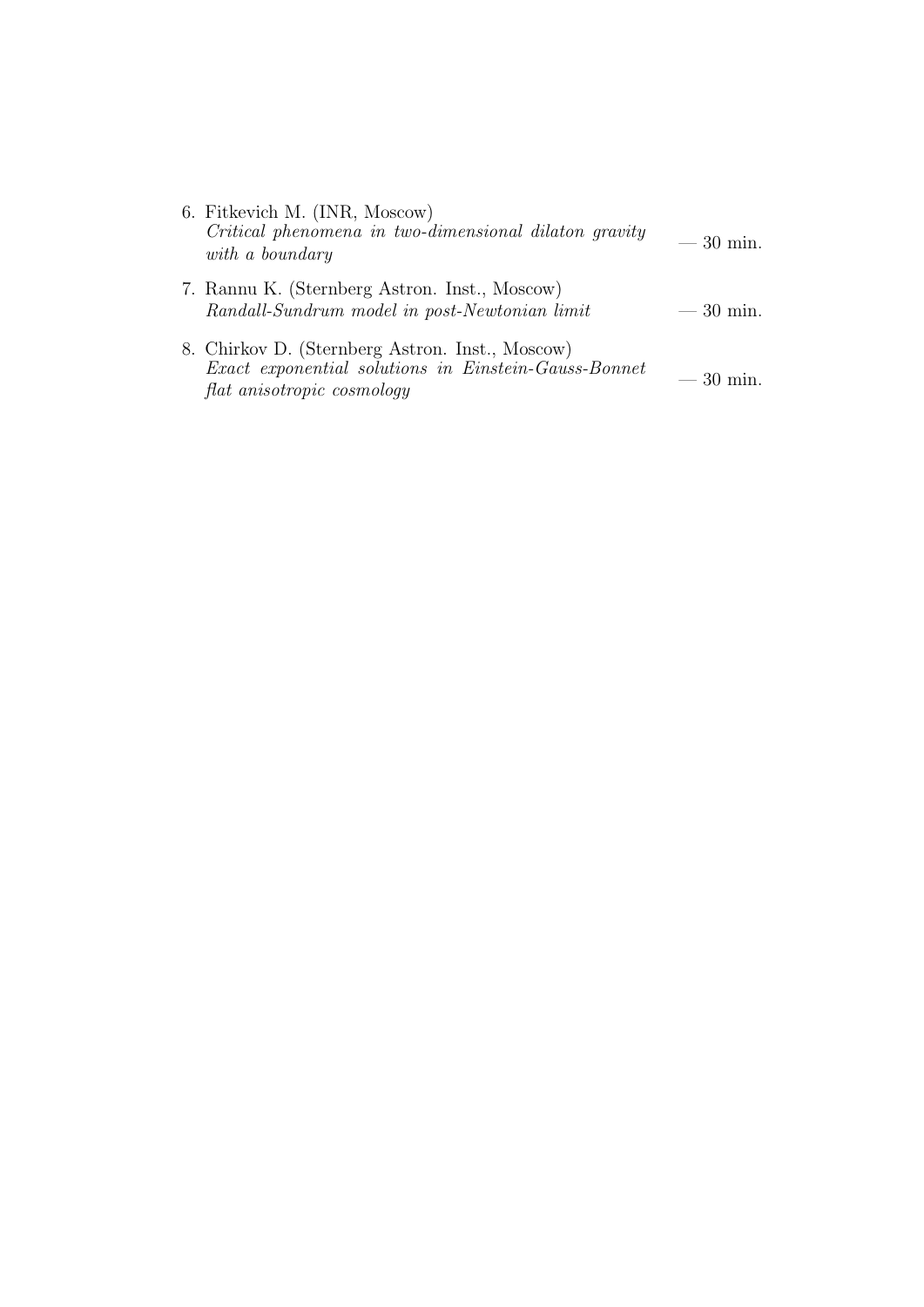| 6. Fitkevich M. (INR, Moscow)<br>Critical phenomena in two-dimensional dilaton gravity<br>with a boundary                             | $-30$ min. |
|---------------------------------------------------------------------------------------------------------------------------------------|------------|
| 7. Rannu K. (Sternberg Astron. Inst., Moscow)<br>Randall-Sundrum model in post-Newtonian limit                                        | $-30$ min. |
| 8. Chirkov D. (Sternberg Astron. Inst., Moscow)<br>Exact exponential solutions in Einstein-Gauss-Bonnet<br>flat anisotropic cosmology | $-30$ min. |